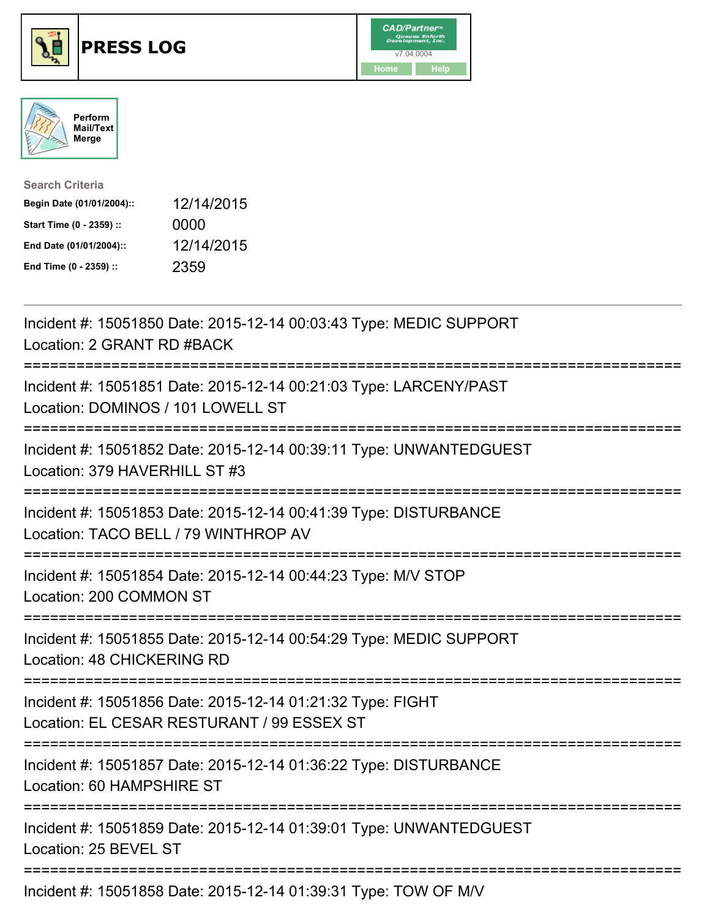





| <b>Search Criteria</b>    |            |
|---------------------------|------------|
| Begin Date (01/01/2004):: | 12/14/2015 |
| Start Time (0 - 2359) ::  | 0000       |
| End Date (01/01/2004)::   | 12/14/2015 |
| End Time (0 - 2359) ::    | 2359       |

| Incident #: 15051850 Date: 2015-12-14 00:03:43 Type: MEDIC SUPPORT<br>Location: 2 GRANT RD #BACK                                              |
|-----------------------------------------------------------------------------------------------------------------------------------------------|
| Incident #: 15051851 Date: 2015-12-14 00:21:03 Type: LARCENY/PAST<br>Location: DOMINOS / 101 LOWELL ST                                        |
| Incident #: 15051852 Date: 2015-12-14 00:39:11 Type: UNWANTEDGUEST<br>Location: 379 HAVERHILL ST #3                                           |
| Incident #: 15051853 Date: 2015-12-14 00:41:39 Type: DISTURBANCE<br>Location: TACO BELL / 79 WINTHROP AV                                      |
| Incident #: 15051854 Date: 2015-12-14 00:44:23 Type: M/V STOP<br>Location: 200 COMMON ST                                                      |
| Incident #: 15051855 Date: 2015-12-14 00:54:29 Type: MEDIC SUPPORT<br><b>Location: 48 CHICKERING RD</b><br>==================                 |
| Incident #: 15051856 Date: 2015-12-14 01:21:32 Type: FIGHT<br>Location: EL CESAR RESTURANT / 99 ESSEX ST<br>================================= |
| Incident #: 15051857 Date: 2015-12-14 01:36:22 Type: DISTURBANCE<br>Location: 60 HAMPSHIRE ST<br>=====================================        |
| Incident #: 15051859 Date: 2015-12-14 01:39:01 Type: UNWANTEDGUEST<br>Location: 25 BEVEL ST                                                   |
| Incident #: 15051858 Date: 2015-12-14 01:39:31 Type: TOW OF M/V                                                                               |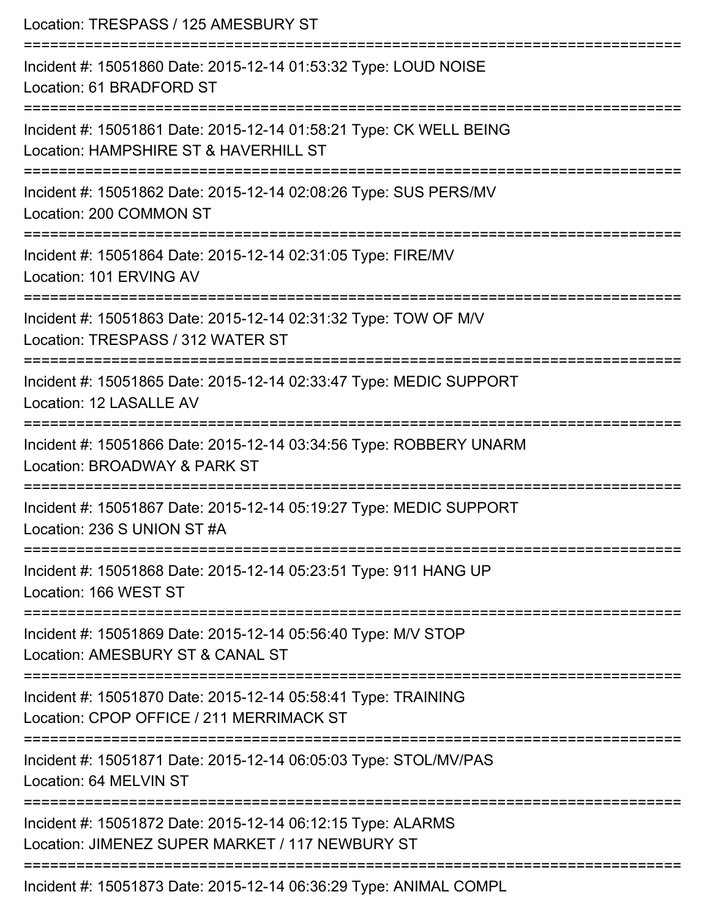| Location: TRESPASS / 125 AMESBURY ST                                                                           |  |
|----------------------------------------------------------------------------------------------------------------|--|
| Incident #: 15051860 Date: 2015-12-14 01:53:32 Type: LOUD NOISE<br>Location: 61 BRADFORD ST                    |  |
| Incident #: 15051861 Date: 2015-12-14 01:58:21 Type: CK WELL BEING<br>Location: HAMPSHIRE ST & HAVERHILL ST    |  |
| Incident #: 15051862 Date: 2015-12-14 02:08:26 Type: SUS PERS/MV<br>Location: 200 COMMON ST                    |  |
| Incident #: 15051864 Date: 2015-12-14 02:31:05 Type: FIRE/MV<br>Location: 101 ERVING AV                        |  |
| Incident #: 15051863 Date: 2015-12-14 02:31:32 Type: TOW OF M/V<br>Location: TRESPASS / 312 WATER ST           |  |
| Incident #: 15051865 Date: 2015-12-14 02:33:47 Type: MEDIC SUPPORT<br>Location: 12 LASALLE AV                  |  |
| Incident #: 15051866 Date: 2015-12-14 03:34:56 Type: ROBBERY UNARM<br>Location: BROADWAY & PARK ST             |  |
| Incident #: 15051867 Date: 2015-12-14 05:19:27 Type: MEDIC SUPPORT<br>Location: 236 S UNION ST #A              |  |
| Incident #: 15051868 Date: 2015-12-14 05:23:51 Type: 911 HANG UP<br>Location: 166 WEST ST                      |  |
| Incident #: 15051869 Date: 2015-12-14 05:56:40 Type: M/V STOP<br>Location: AMESBURY ST & CANAL ST              |  |
| Incident #: 15051870 Date: 2015-12-14 05:58:41 Type: TRAINING<br>Location: CPOP OFFICE / 211 MERRIMACK ST      |  |
| Incident #: 15051871 Date: 2015-12-14 06:05:03 Type: STOL/MV/PAS<br>Location: 64 MELVIN ST                     |  |
| Incident #: 15051872 Date: 2015-12-14 06:12:15 Type: ALARMS<br>Location: JIMENEZ SUPER MARKET / 117 NEWBURY ST |  |
| Incident #: 15051873 Date: 2015-12-14 06:36:29 Type: ANIMAL COMPL                                              |  |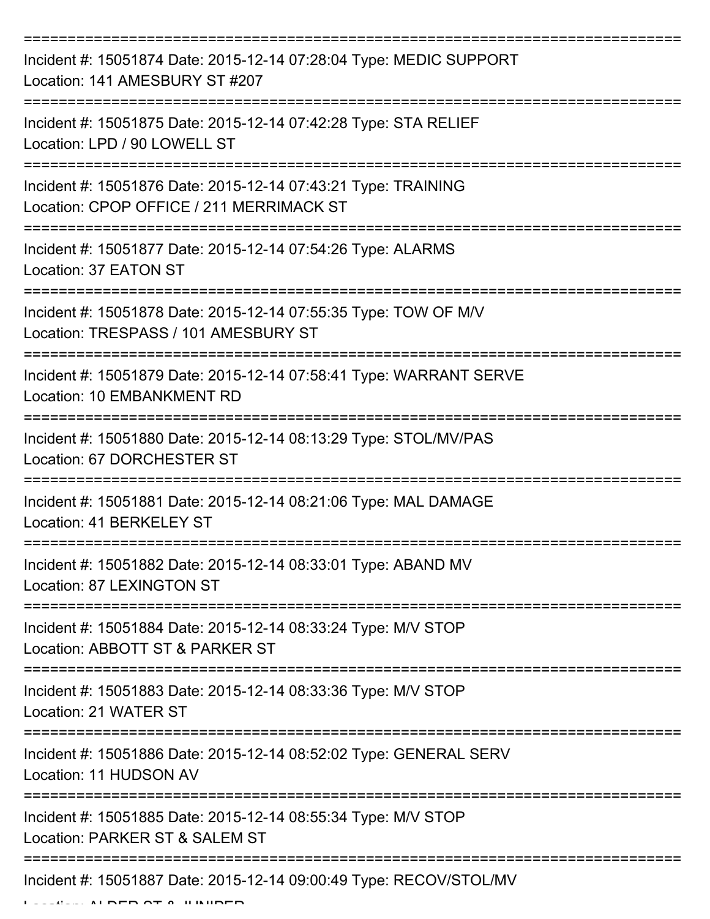| Incident #: 15051874 Date: 2015-12-14 07:28:04 Type: MEDIC SUPPORT<br>Location: 141 AMESBURY ST #207      |
|-----------------------------------------------------------------------------------------------------------|
| Incident #: 15051875 Date: 2015-12-14 07:42:28 Type: STA RELIEF<br>Location: LPD / 90 LOWELL ST           |
| Incident #: 15051876 Date: 2015-12-14 07:43:21 Type: TRAINING<br>Location: CPOP OFFICE / 211 MERRIMACK ST |
| Incident #: 15051877 Date: 2015-12-14 07:54:26 Type: ALARMS<br>Location: 37 EATON ST                      |
| Incident #: 15051878 Date: 2015-12-14 07:55:35 Type: TOW OF M/V<br>Location: TRESPASS / 101 AMESBURY ST   |
| Incident #: 15051879 Date: 2015-12-14 07:58:41 Type: WARRANT SERVE<br>Location: 10 EMBANKMENT RD          |
| Incident #: 15051880 Date: 2015-12-14 08:13:29 Type: STOL/MV/PAS<br>Location: 67 DORCHESTER ST            |
| Incident #: 15051881 Date: 2015-12-14 08:21:06 Type: MAL DAMAGE<br>Location: 41 BERKELEY ST               |
| Incident #: 15051882 Date: 2015-12-14 08:33:01 Type: ABAND MV<br>Location: 87 LEXINGTON ST                |
| Incident #: 15051884 Date: 2015-12-14 08:33:24 Type: M/V STOP<br>Location: ABBOTT ST & PARKER ST          |
| Incident #: 15051883 Date: 2015-12-14 08:33:36 Type: M/V STOP<br>Location: 21 WATER ST                    |
| Incident #: 15051886 Date: 2015-12-14 08:52:02 Type: GENERAL SERV<br>Location: 11 HUDSON AV               |
| Incident #: 15051885 Date: 2015-12-14 08:55:34 Type: M/V STOP<br>Location: PARKER ST & SALEM ST           |
| Incident #: 15051887 Date: 2015-12-14 09:00:49 Type: RECOV/STOL/MV                                        |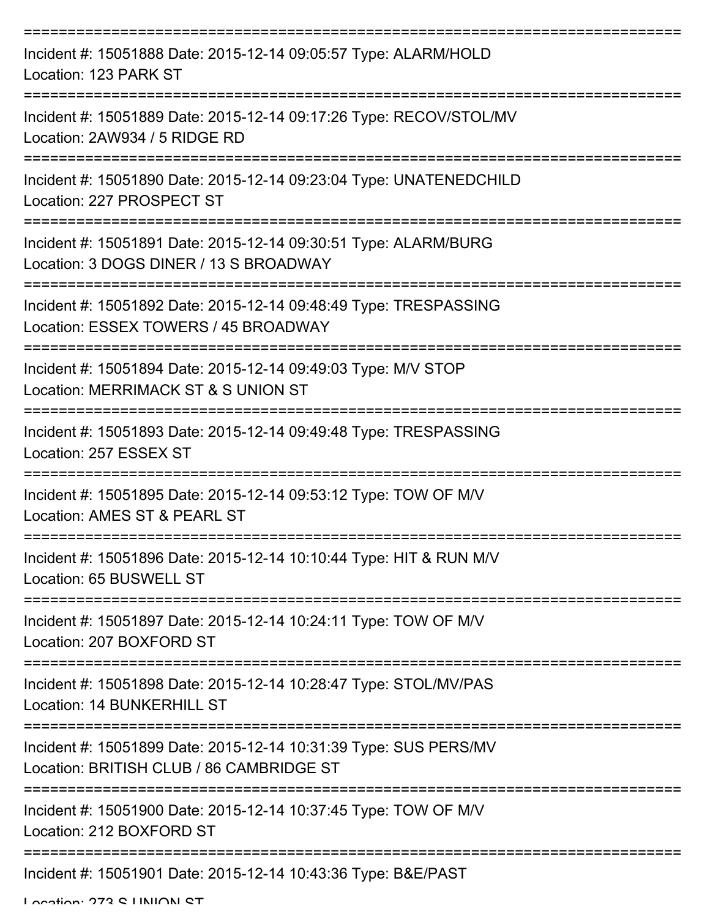| Incident #: 15051888 Date: 2015-12-14 09:05:57 Type: ALARM/HOLD<br>Location: 123 PARK ST                     |
|--------------------------------------------------------------------------------------------------------------|
| Incident #: 15051889 Date: 2015-12-14 09:17:26 Type: RECOV/STOL/MV<br>Location: 2AW934 / 5 RIDGE RD          |
| Incident #: 15051890 Date: 2015-12-14 09:23:04 Type: UNATENEDCHILD<br>Location: 227 PROSPECT ST              |
| Incident #: 15051891 Date: 2015-12-14 09:30:51 Type: ALARM/BURG<br>Location: 3 DOGS DINER / 13 S BROADWAY    |
| Incident #: 15051892 Date: 2015-12-14 09:48:49 Type: TRESPASSING<br>Location: ESSEX TOWERS / 45 BROADWAY     |
| Incident #: 15051894 Date: 2015-12-14 09:49:03 Type: M/V STOP<br>Location: MERRIMACK ST & S UNION ST         |
| Incident #: 15051893 Date: 2015-12-14 09:49:48 Type: TRESPASSING<br>Location: 257 ESSEX ST                   |
| Incident #: 15051895 Date: 2015-12-14 09:53:12 Type: TOW OF M/V<br>Location: AMES ST & PEARL ST              |
| Incident #: 15051896 Date: 2015-12-14 10:10:44 Type: HIT & RUN M/V<br>Location: 65 BUSWELL ST                |
| Incident #: 15051897 Date: 2015-12-14 10:24:11 Type: TOW OF M/V<br>Location: 207 BOXFORD ST                  |
| Incident #: 15051898 Date: 2015-12-14 10:28:47 Type: STOL/MV/PAS<br>Location: 14 BUNKERHILL ST               |
| Incident #: 15051899 Date: 2015-12-14 10:31:39 Type: SUS PERS/MV<br>Location: BRITISH CLUB / 86 CAMBRIDGE ST |
| Incident #: 15051900 Date: 2015-12-14 10:37:45 Type: TOW OF M/V<br>Location: 212 BOXFORD ST                  |
| Incident #: 15051901 Date: 2015-12-14 10:43:36 Type: B&E/PAST                                                |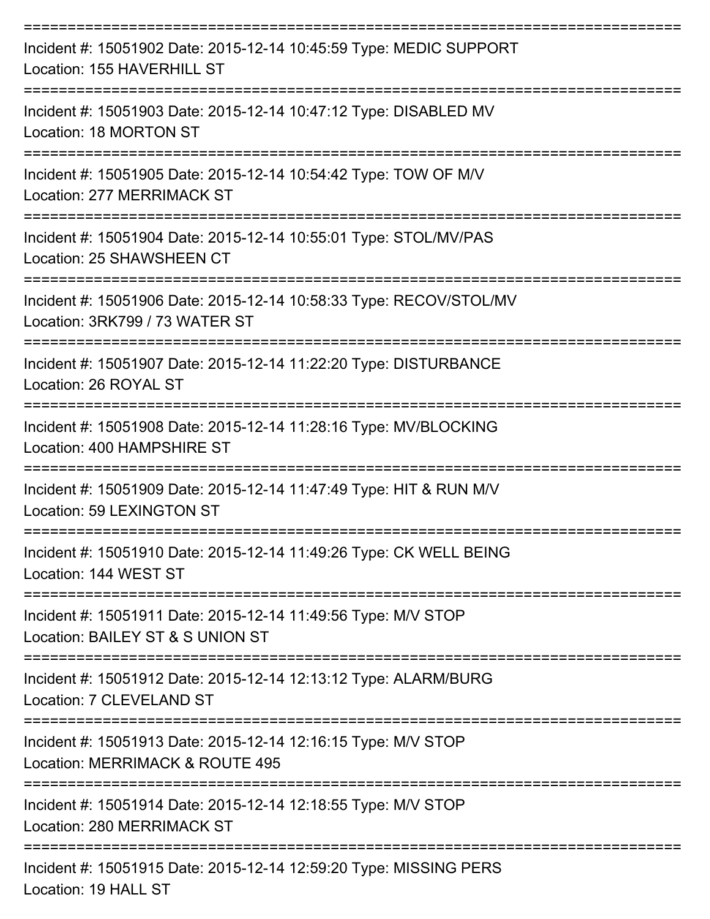| Incident #: 15051902 Date: 2015-12-14 10:45:59 Type: MEDIC SUPPORT<br>Location: 155 HAVERHILL ST<br>:========================    |
|----------------------------------------------------------------------------------------------------------------------------------|
| Incident #: 15051903 Date: 2015-12-14 10:47:12 Type: DISABLED MV<br>Location: 18 MORTON ST                                       |
| Incident #: 15051905 Date: 2015-12-14 10:54:42 Type: TOW OF M/V<br>Location: 277 MERRIMACK ST                                    |
| Incident #: 15051904 Date: 2015-12-14 10:55:01 Type: STOL/MV/PAS<br>Location: 25 SHAWSHEEN CT                                    |
| Incident #: 15051906 Date: 2015-12-14 10:58:33 Type: RECOV/STOL/MV<br>Location: 3RK799 / 73 WATER ST                             |
| Incident #: 15051907 Date: 2015-12-14 11:22:20 Type: DISTURBANCE<br>Location: 26 ROYAL ST<br>----------------------------------- |
| Incident #: 15051908 Date: 2015-12-14 11:28:16 Type: MV/BLOCKING<br>Location: 400 HAMPSHIRE ST                                   |
| Incident #: 15051909 Date: 2015-12-14 11:47:49 Type: HIT & RUN M/V<br>Location: 59 LEXINGTON ST                                  |
| Incident #: 15051910 Date: 2015-12-14 11:49:26 Type: CK WELL BEING<br>Location: 144 WEST ST                                      |
| Incident #: 15051911 Date: 2015-12-14 11:49:56 Type: M/V STOP<br>Location: BAILEY ST & S UNION ST                                |
| Incident #: 15051912 Date: 2015-12-14 12:13:12 Type: ALARM/BURG<br>Location: 7 CLEVELAND ST                                      |
| Incident #: 15051913 Date: 2015-12-14 12:16:15 Type: M/V STOP<br>Location: MERRIMACK & ROUTE 495                                 |
| Incident #: 15051914 Date: 2015-12-14 12:18:55 Type: M/V STOP<br>Location: 280 MERRIMACK ST                                      |
| Incident #: 15051915 Date: 2015-12-14 12:59:20 Type: MISSING PERS                                                                |

Location: 19 HALL ST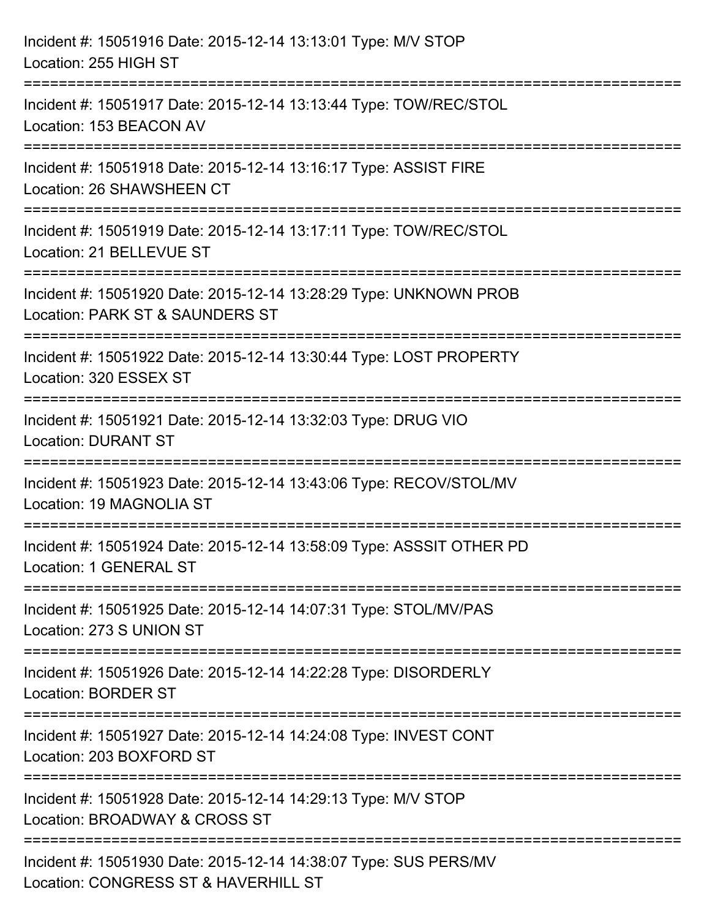| Incident #: 15051916 Date: 2015-12-14 13:13:01 Type: M/V STOP<br>Location: 255 HIGH ST                               |
|----------------------------------------------------------------------------------------------------------------------|
| Incident #: 15051917 Date: 2015-12-14 13:13:44 Type: TOW/REC/STOL<br>Location: 153 BEACON AV                         |
| Incident #: 15051918 Date: 2015-12-14 13:16:17 Type: ASSIST FIRE<br>Location: 26 SHAWSHEEN CT                        |
| Incident #: 15051919 Date: 2015-12-14 13:17:11 Type: TOW/REC/STOL<br>Location: 21 BELLEVUE ST<br>------------------- |
| Incident #: 15051920 Date: 2015-12-14 13:28:29 Type: UNKNOWN PROB<br>Location: PARK ST & SAUNDERS ST                 |
| Incident #: 15051922 Date: 2015-12-14 13:30:44 Type: LOST PROPERTY<br>Location: 320 ESSEX ST                         |
| Incident #: 15051921 Date: 2015-12-14 13:32:03 Type: DRUG VIO<br><b>Location: DURANT ST</b>                          |
| Incident #: 15051923 Date: 2015-12-14 13:43:06 Type: RECOV/STOL/MV<br>Location: 19 MAGNOLIA ST                       |
| Incident #: 15051924 Date: 2015-12-14 13:58:09 Type: ASSSIT OTHER PD<br>Location: 1 GENERAL ST                       |
| Incident #: 15051925 Date: 2015-12-14 14:07:31 Type: STOL/MV/PAS<br>Location: 273 S UNION ST                         |
| Incident #: 15051926 Date: 2015-12-14 14:22:28 Type: DISORDERLY<br><b>Location: BORDER ST</b>                        |
| Incident #: 15051927 Date: 2015-12-14 14:24:08 Type: INVEST CONT<br>Location: 203 BOXFORD ST                         |
| Incident #: 15051928 Date: 2015-12-14 14:29:13 Type: M/V STOP<br>Location: BROADWAY & CROSS ST                       |
| Incident #: 15051930 Date: 2015-12-14 14:38:07 Type: SUS PERS/MV<br>Location: CONGRESS ST & HAVERHILL ST             |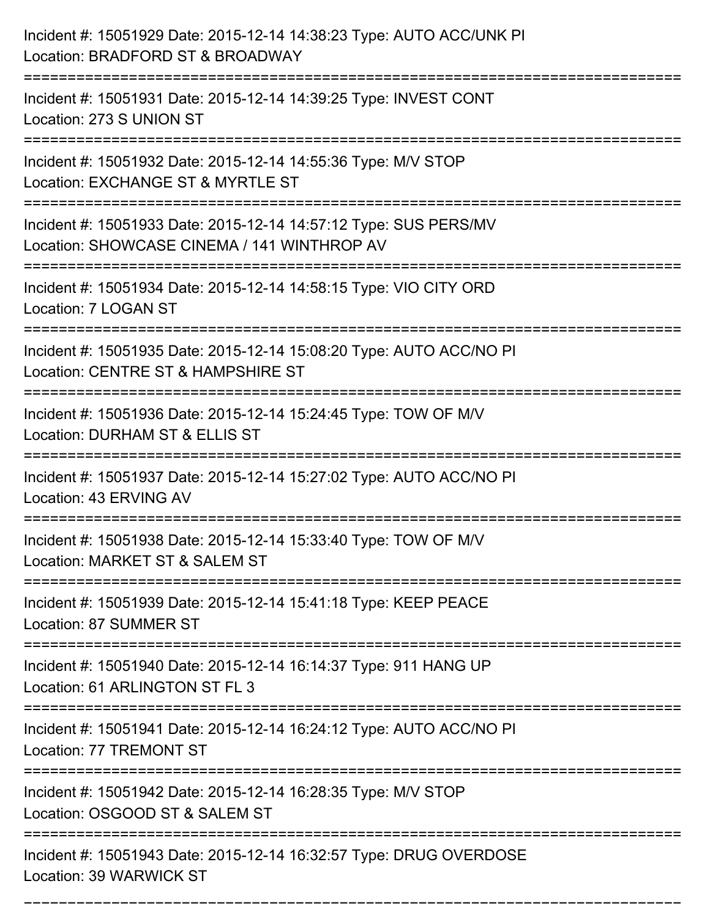| Incident #: 15051929 Date: 2015-12-14 14:38:23 Type: AUTO ACC/UNK PI<br>Location: BRADFORD ST & BROADWAY                 |
|--------------------------------------------------------------------------------------------------------------------------|
| Incident #: 15051931 Date: 2015-12-14 14:39:25 Type: INVEST CONT<br>Location: 273 S UNION ST                             |
| Incident #: 15051932 Date: 2015-12-14 14:55:36 Type: M/V STOP<br>Location: EXCHANGE ST & MYRTLE ST                       |
| Incident #: 15051933 Date: 2015-12-14 14:57:12 Type: SUS PERS/MV<br>Location: SHOWCASE CINEMA / 141 WINTHROP AV          |
| Incident #: 15051934 Date: 2015-12-14 14:58:15 Type: VIO CITY ORD<br>Location: 7 LOGAN ST                                |
| Incident #: 15051935 Date: 2015-12-14 15:08:20 Type: AUTO ACC/NO PI<br>Location: CENTRE ST & HAMPSHIRE ST                |
| Incident #: 15051936 Date: 2015-12-14 15:24:45 Type: TOW OF M/V<br>Location: DURHAM ST & ELLIS ST                        |
| Incident #: 15051937 Date: 2015-12-14 15:27:02 Type: AUTO ACC/NO PI<br>Location: 43 ERVING AV                            |
| Incident #: 15051938 Date: 2015-12-14 15:33:40 Type: TOW OF M/V<br>Location: MARKET ST & SALEM ST                        |
| Incident #: 15051939 Date: 2015-12-14 15:41:18 Type: KEEP PEACE<br>Location: 87 SUMMER ST<br>--------------------------- |
| Incident #: 15051940 Date: 2015-12-14 16:14:37 Type: 911 HANG UP<br>Location: 61 ARLINGTON ST FL 3                       |
| Incident #: 15051941 Date: 2015-12-14 16:24:12 Type: AUTO ACC/NO PI<br>Location: 77 TREMONT ST                           |
| Incident #: 15051942 Date: 2015-12-14 16:28:35 Type: M/V STOP<br>Location: OSGOOD ST & SALEM ST                          |
| Incident #: 15051943 Date: 2015-12-14 16:32:57 Type: DRUG OVERDOSE<br>Location: 39 WARWICK ST                            |

===========================================================================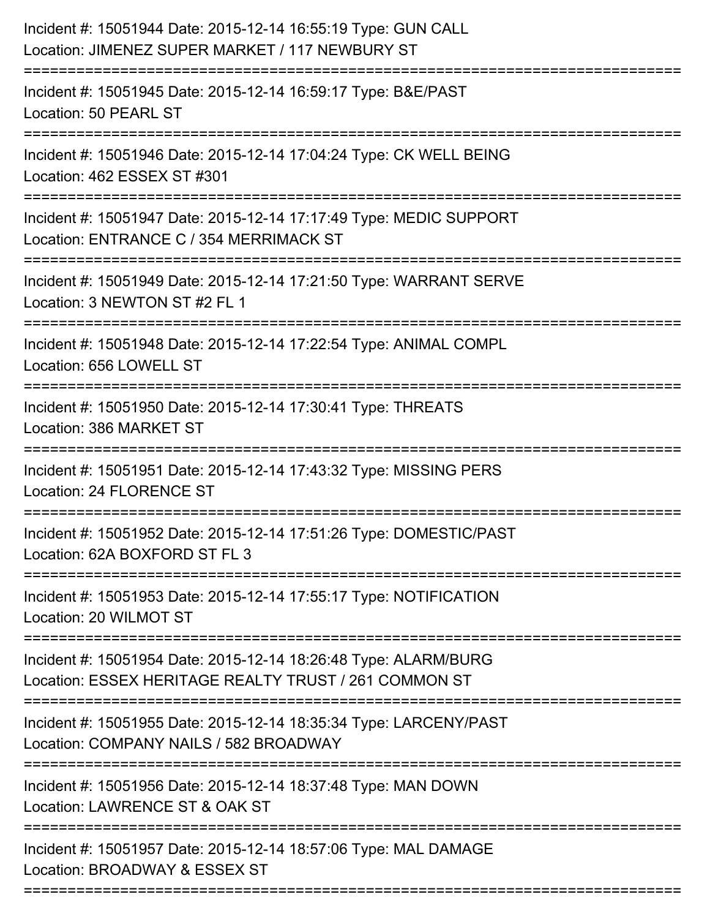| :====================================<br>:======================<br>---------------------- | Incident #: 15051944 Date: 2015-12-14 16:55:19 Type: GUN CALL<br>Location: JIMENEZ SUPER MARKET / 117 NEWBURY ST         |
|--------------------------------------------------------------------------------------------|--------------------------------------------------------------------------------------------------------------------------|
|                                                                                            | Incident #: 15051945 Date: 2015-12-14 16:59:17 Type: B&E/PAST<br>Location: 50 PEARL ST                                   |
|                                                                                            | Incident #: 15051946 Date: 2015-12-14 17:04:24 Type: CK WELL BEING<br>Location: 462 ESSEX ST #301                        |
|                                                                                            | Incident #: 15051947 Date: 2015-12-14 17:17:49 Type: MEDIC SUPPORT<br>Location: ENTRANCE C / 354 MERRIMACK ST            |
|                                                                                            | Incident #: 15051949 Date: 2015-12-14 17:21:50 Type: WARRANT SERVE<br>Location: 3 NEWTON ST #2 FL 1                      |
|                                                                                            | Incident #: 15051948 Date: 2015-12-14 17:22:54 Type: ANIMAL COMPL<br>Location: 656 LOWELL ST                             |
|                                                                                            | Incident #: 15051950 Date: 2015-12-14 17:30:41 Type: THREATS<br>Location: 386 MARKET ST                                  |
|                                                                                            | Incident #: 15051951 Date: 2015-12-14 17:43:32 Type: MISSING PERS<br>Location: 24 FLORENCE ST                            |
|                                                                                            | Incident #: 15051952 Date: 2015-12-14 17:51:26 Type: DOMESTIC/PAST<br>Location: 62A BOXFORD ST FL 3                      |
|                                                                                            | Incident #: 15051953 Date: 2015-12-14 17:55:17 Type: NOTIFICATION<br>Location: 20 WILMOT ST                              |
|                                                                                            | Incident #: 15051954 Date: 2015-12-14 18:26:48 Type: ALARM/BURG<br>Location: ESSEX HERITAGE REALTY TRUST / 261 COMMON ST |
|                                                                                            | Incident #: 15051955 Date: 2015-12-14 18:35:34 Type: LARCENY/PAST<br>Location: COMPANY NAILS / 582 BROADWAY              |
|                                                                                            | Incident #: 15051956 Date: 2015-12-14 18:37:48 Type: MAN DOWN<br>Location: LAWRENCE ST & OAK ST                          |
|                                                                                            | Incident #: 15051957 Date: 2015-12-14 18:57:06 Type: MAL DAMAGE<br>Location: BROADWAY & ESSEX ST                         |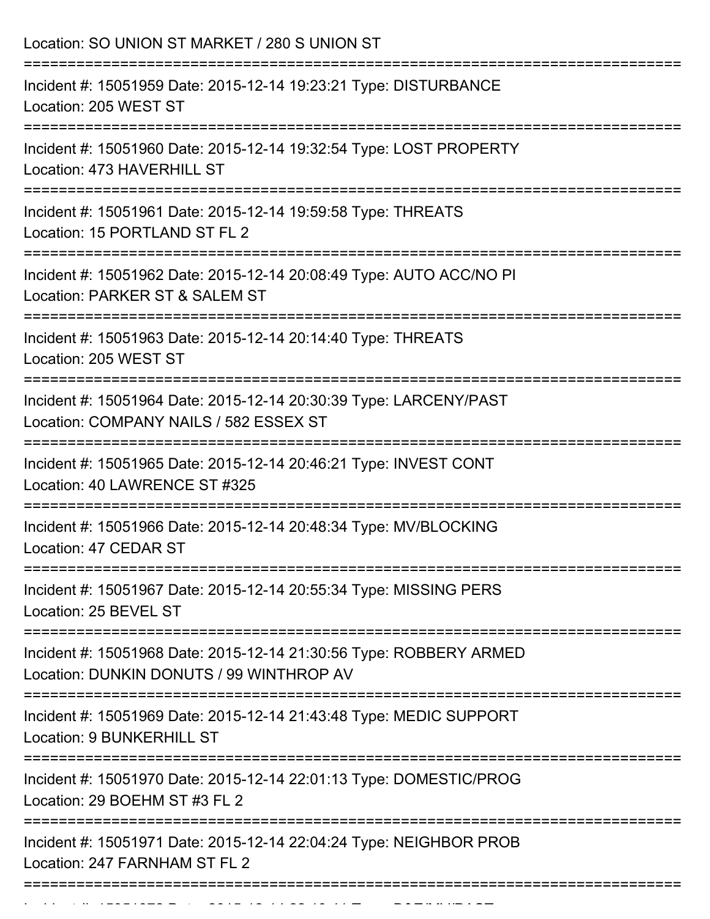| Location: SO UNION ST MARKET / 280 S UNION ST<br>------------                                                                             |
|-------------------------------------------------------------------------------------------------------------------------------------------|
| Incident #: 15051959 Date: 2015-12-14 19:23:21 Type: DISTURBANCE<br>Location: 205 WEST ST                                                 |
| Incident #: 15051960 Date: 2015-12-14 19:32:54 Type: LOST PROPERTY<br>Location: 473 HAVERHILL ST<br>===================================== |
| Incident #: 15051961 Date: 2015-12-14 19:59:58 Type: THREATS<br>Location: 15 PORTLAND ST FL 2                                             |
| Incident #: 15051962 Date: 2015-12-14 20:08:49 Type: AUTO ACC/NO PI<br>Location: PARKER ST & SALEM ST                                     |
| Incident #: 15051963 Date: 2015-12-14 20:14:40 Type: THREATS<br>Location: 205 WEST ST                                                     |
| Incident #: 15051964 Date: 2015-12-14 20:30:39 Type: LARCENY/PAST<br>Location: COMPANY NAILS / 582 ESSEX ST                               |
| Incident #: 15051965 Date: 2015-12-14 20:46:21 Type: INVEST CONT<br>Location: 40 LAWRENCE ST #325                                         |
| Incident #: 15051966 Date: 2015-12-14 20:48:34 Type: MV/BLOCKING<br>Location: 47 CEDAR ST                                                 |
| Incident #: 15051967 Date: 2015-12-14 20:55:34 Type: MISSING PERS<br>Location: 25 BEVEL ST                                                |
| Incident #: 15051968 Date: 2015-12-14 21:30:56 Type: ROBBERY ARMED<br>Location: DUNKIN DONUTS / 99 WINTHROP AV                            |
| Incident #: 15051969 Date: 2015-12-14 21:43:48 Type: MEDIC SUPPORT<br><b>Location: 9 BUNKERHILL ST</b>                                    |
| Incident #: 15051970 Date: 2015-12-14 22:01:13 Type: DOMESTIC/PROG<br>Location: 29 BOEHM ST #3 FL 2                                       |
| Incident #: 15051971 Date: 2015-12-14 22:04:24 Type: NEIGHBOR PROB<br>Location: 247 FARNHAM ST FL 2                                       |

Incident #: 15051972 Date: 2015 12 14 22:10:41 Type: B&E/MV/PAST